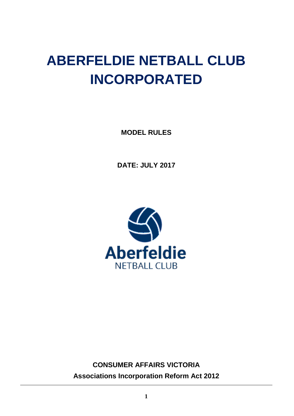# **ABERFELDIE NETBALL CLUB INCORPORATED**

**MODEL RULES**

**DATE: JULY 2017**



**CONSUMER AFFAIRS VICTORIA Associations Incorporation Reform Act 2012**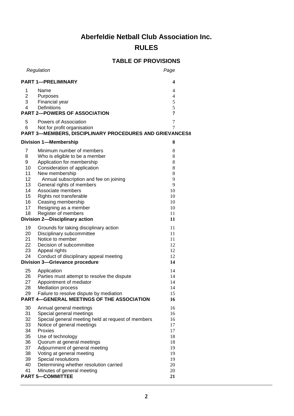# **Aberfeldie Netball Club Association Inc.**

# **RULES**

# **TABLE OF PROVISIONS**

| Regulation                                                                                                                                                                                                                                                                                                                                                                                                                                                             | Page                                                                       |
|------------------------------------------------------------------------------------------------------------------------------------------------------------------------------------------------------------------------------------------------------------------------------------------------------------------------------------------------------------------------------------------------------------------------------------------------------------------------|----------------------------------------------------------------------------|
| <b>PART 1-PRELIMINARY</b>                                                                                                                                                                                                                                                                                                                                                                                                                                              |                                                                            |
| 1<br>Name<br>$\overline{2}$<br>Purposes<br>3<br>Financial year<br><b>Definitions</b><br>4<br><b>PART 2-POWERS OF ASSOCIATION</b>                                                                                                                                                                                                                                                                                                                                       | 4<br>4<br>5<br>5<br>7                                                      |
| 5<br>Powers of Association<br>6<br>Not for profit organisation<br><b>PART 3-MEMBERS, DISCIPLINARY PROCEDURES AND GRIEVANCES8</b>                                                                                                                                                                                                                                                                                                                                       | $\overline{7}$<br>7                                                        |
| <b>Division 1-Membership</b>                                                                                                                                                                                                                                                                                                                                                                                                                                           | 8                                                                          |
| 7<br>Minimum number of members<br>8<br>Who is eligible to be a member<br>9<br>Application for membership<br>10<br>Consideration of application<br>11<br>New membership<br>12<br>Annual subscription and fee on joining<br>13<br>General rights of members<br>14<br>Associate members<br>15<br>Rights not transferable<br>16<br>Ceasing membership<br>17<br>Resigning as a member<br>18<br>Register of members<br><b>Division 2-Disciplinary action</b>                 | 8<br>8<br>8<br>8<br>8<br>9<br>9<br>10<br>10<br>10<br>10<br>11<br>11        |
| 19<br>Grounds for taking disciplinary action<br>20<br>Disciplinary subcommittee<br>21<br>Notice to member<br>22<br>Decision of subcommittee<br>23<br>Appeal rights<br>24<br>Conduct of disciplinary appeal meeting<br><b>Division 3-Grievance procedure</b>                                                                                                                                                                                                            | 11<br>11<br>11<br>12<br>12<br>12<br>14                                     |
| 25<br>Application<br>26<br>Parties must attempt to resolve the dispute<br>27<br>Appointment of mediator<br>28<br><b>Mediation process</b><br>Failure to resolve dispute by mediation<br>29<br><b>PART 4-GENERAL MEETINGS OF THE ASSOCIATION</b>                                                                                                                                                                                                                        | 14<br>14<br>14<br>14<br>15<br>16                                           |
| 30<br>Annual general meetings<br>31<br>Special general meetings<br>32<br>Special general meeting held at request of members<br>33<br>Notice of general meetings<br>34<br>Proxies<br>35<br>Use of technology<br>36<br>Quorum at general meetings<br>37<br>Adjournment of general meeting<br>38<br>Voting at general meeting<br>39<br>Special resolutions<br>40<br>Determining whether resolution carried<br>41<br>Minutes of general meeting<br><b>PART 5-COMMITTEE</b> | 16<br>16<br>16<br>17<br>17<br>18<br>18<br>19<br>19<br>19<br>20<br>20<br>21 |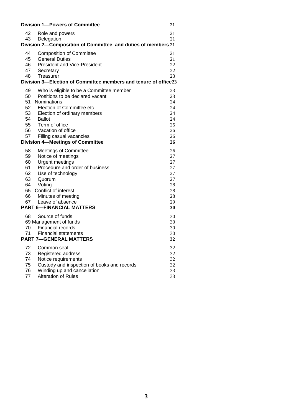|                                                              | <b>Division 1-Powers of Committee</b>                                      | 21       |
|--------------------------------------------------------------|----------------------------------------------------------------------------|----------|
| 42                                                           | Role and powers                                                            | 21       |
| 43                                                           | Delegation                                                                 | 21       |
| Division 2-Composition of Committee and duties of members 21 |                                                                            |          |
| 44                                                           | <b>Composition of Committee</b>                                            | 21       |
| 45                                                           | <b>General Duties</b>                                                      | 21       |
| 46                                                           | <b>President and Vice-President</b>                                        | 22       |
| 47                                                           | Secretary                                                                  | 22       |
| 48                                                           | Treasurer                                                                  | 23       |
|                                                              | Division 3-Election of Committee members and tenure of office23            |          |
| 49                                                           | Who is eligible to be a Committee member                                   | 23       |
| 50                                                           | Positions to be declared vacant                                            | 23       |
| 51                                                           | Nominations                                                                | 24       |
| 52                                                           | Election of Committee etc.                                                 | 24       |
| 53                                                           | Election of ordinary members                                               | 24       |
| 54<br>55                                                     | <b>Ballot</b>                                                              | 24       |
| 56                                                           | Term of office<br>Vacation of office                                       | 25<br>26 |
| 57                                                           | Filling casual vacancies                                                   | 26       |
|                                                              | <b>Division 4-Meetings of Committee</b>                                    | 26       |
| 58                                                           | <b>Meetings of Committee</b>                                               | 26       |
| 59                                                           | Notice of meetings                                                         | 27       |
| 60                                                           | <b>Urgent meetings</b>                                                     | 27       |
| 61                                                           | Procedure and order of business                                            | 27       |
| 62                                                           | Use of technology                                                          | 27       |
| 63                                                           | Quorum                                                                     | 27       |
| 64                                                           | Voting                                                                     | 28       |
| 65                                                           | Conflict of interest                                                       | 28       |
| 66                                                           | Minutes of meeting                                                         | 28       |
| 67                                                           | Leave of absence                                                           | 29       |
|                                                              | <b>PART 6-FINANCIAL MATTERS</b>                                            | 30       |
| 68                                                           | Source of funds                                                            | 30       |
|                                                              | 69 Management of funds                                                     | 30       |
| 70                                                           | <b>Financial records</b>                                                   | 30       |
| 71                                                           | Financial statements                                                       | 30       |
| <b>PART 7-GENERAL MATTERS</b><br>32                          |                                                                            |          |
| 72                                                           | Common seal                                                                | 32       |
| 73                                                           | Registered address                                                         | 32       |
| 74                                                           | Notice requirements                                                        | 32       |
| 75<br>76                                                     | Custody and inspection of books and records<br>Winding up and cancellation | 32       |
| 77                                                           | Alteration of Rules                                                        | 33<br>33 |
|                                                              |                                                                            |          |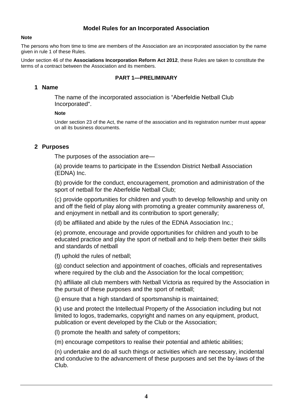#### **Model Rules for an Incorporated Association**

#### **Note**

The persons who from time to time are members of the Association are an incorporated association by the name given in rule 1 of these Rules.

Under section 46 of the **Associations Incorporation Reform Act 2012**, these Rules are taken to constitute the terms of a contract between the Association and its members.

#### **PART 1—PRELIMINARY**

#### **1 Name**

The name of the incorporated association is "Aberfeldie Netball Club Incorporated".

#### **Note**

Under section 23 of the Act, the name of the association and its registration number must appear on all its business documents.

#### **2 Purposes**

The purposes of the association are—

(a) provide teams to participate in the Essendon District Netball Association (EDNA) Inc.

(b) provide for the conduct, encouragement, promotion and administration of the sport of netball for the Aberfeldie Netball Club;

(c) provide opportunities for children and youth to develop fellowship and unity on and off the field of play along with promoting a greater community awareness of, and enjoyment in netball and its contribution to sport generally;

(d) be affiliated and abide by the rules of the EDNA Association Inc.;

(e) promote, encourage and provide opportunities for children and youth to be educated practice and play the sport of netball and to help them better their skills and standards of netball

(f) uphold the rules of netball;

(g) conduct selection and appointment of coaches, officials and representatives where required by the club and the Association for the local competition;

(h) affiliate all club members with Netball Victoria as required by the Association in the pursuit of these purposes and the sport of netball;

(j) ensure that a high standard of sportsmanship is maintained;

(k) use and protect the Intellectual Property of the Association including but not limited to logos, trademarks, copyright and names on any equipment, product, publication or event developed by the Club or the Association;

(l) promote the health and safety of competitors;

(m) encourage competitors to realise their potential and athletic abilities;

(n) undertake and do all such things or activities which are necessary, incidental and conducive to the advancement of these purposes and set the by-laws of the Club.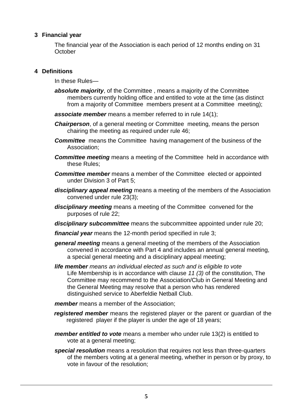# **3 Financial year**

The financial year of the Association is each period of 12 months ending on 31 **October** 

### **4 Definitions**

In these Rules—

- *absolute majority*, of the Committee , means a majority of the Committee members currently holding office and entitled to vote at the time (as distinct from a majority of Committee members present at a Committee meeting);
- *associate member* means a member referred to in rule 14(1);
- *Chairperson*, of a general meeting or Committee meeting, means the person chairing the meeting as required under rule 46;
- **Committee** means the Committee having management of the business of the Association;
- **Committee meeting** means a meeting of the Committee held in accordance with these Rules;
- *Committee member* means a member of the Committee elected or appointed under Division 3 of Part 5;
- *disciplinary appeal meeting* means a meeting of the members of the Association convened under rule 23(3);
- *disciplinary meeting* means a meeting of the Committee convened for the purposes of rule 22;
- *disciplinary subcommittee* means the subcommittee appointed under rule 20;

*financial year* means the 12-month period specified in rule 3;

- *general meeting* means a general meeting of the members of the Association convened in accordance with Part 4 and includes an annual general meeting, a special general meeting and a disciplinary appeal meeting;
- *life member means an individual elected as such and is eligible to vote* Life Membership is in accordance with clause *11 (3)* of the constitution, The Committee may recommend to the Association/Club in General Meeting and the General Meeting may resolve that a person who has rendered distinguished service to Aberfeldie Netball Club.
- *member* means a member of the Association;
- *registered member* means the registered player or the parent or guardian of the registered player if the player is under the age of 18 years;
- *member entitled to vote* means a member who under rule 13(2) is entitled to vote at a general meeting;
- *special resolution* means a resolution that requires not less than three-quarters of the members voting at a general meeting, whether in person or by proxy, to vote in favour of the resolution;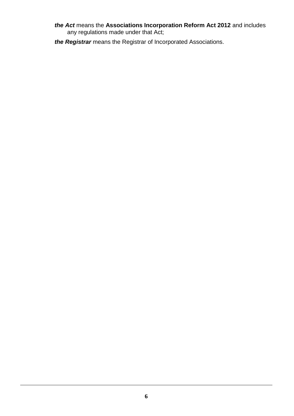#### *the Act* means the **Associations Incorporation Reform Act 2012** and includes any regulations made under that Act;

*the Registrar* means the Registrar of Incorporated Associations.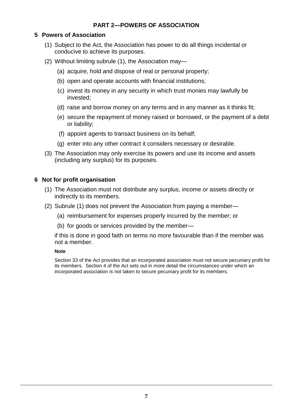# **PART 2—POWERS OF ASSOCIATION**

## **5 Powers of Association**

- (1) Subject to the Act, the Association has power to do all things incidental or conducive to achieve its purposes.
- (2) Without limiting subrule (1), the Association may—
	- (a) acquire, hold and dispose of real or personal property;
	- (b) open and operate accounts with financial institutions;
	- (c) invest its money in any security in which trust monies may lawfully be invested;
	- (d) raise and borrow money on any terms and in any manner as it thinks fit;
	- (e) secure the repayment of money raised or borrowed, or the payment of a debt or liability;
	- (f) appoint agents to transact business on its behalf;
	- (g) enter into any other contract it considers necessary or desirable.
- (3) The Association may only exercise its powers and use its income and assets (including any surplus) for its purposes.

### **6 Not for profit organisation**

- (1) The Association must not distribute any surplus, income or assets directly or indirectly to its members.
- (2) Subrule (1) does not prevent the Association from paying a member—
	- (a) reimbursement for expenses properly incurred by the member; or
	- (b) for goods or services provided by the member—

if this is done in good faith on terms no more favourable than if the member was not a member.

#### **Note**

Section 33 of the Act provides that an incorporated association must not secure pecuniary profit for its members. Section 4 of the Act sets out in more detail the circumstances under which an incorporated association is not taken to secure pecuniary profit for its members.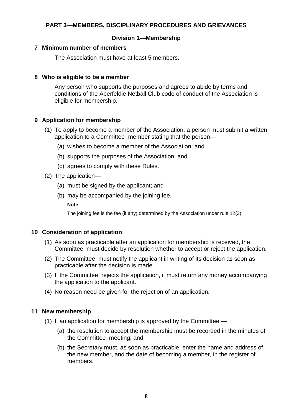# **PART 3—MEMBERS, DISCIPLINARY PROCEDURES AND GRIEVANCES**

# **Division 1—Membership**

# **7 Minimum number of members**

The Association must have at least 5 members.

### **8 Who is eligible to be a member**

Any person who supports the purposes and agrees to abide by terms and conditions of the Aberfeldie Netball Club code of conduct of the Association is eligible for membership.

# **9 Application for membership**

- (1) To apply to become a member of the Association, a person must submit a written application to a Committee member stating that the person—
	- (a) wishes to become a member of the Association; and
	- (b) supports the purposes of the Association; and
	- (c) agrees to comply with these Rules.
- (2) The application—
	- (a) must be signed by the applicant; and
	- (b) may be accompanied by the joining fee.

#### **Note**

The joining fee is the fee (if any) determined by the Association under rule 12(3).

#### **10 Consideration of application**

- (1) As soon as practicable after an application for membership is received, the Committee must decide by resolution whether to accept or reject the application.
- (2) The Committee must notify the applicant in writing of its decision as soon as practicable after the decision is made.
- (3) If the Committee rejects the application, it must return any money accompanying the application to the applicant.
- (4) No reason need be given for the rejection of an application.

# **11 New membership**

- (1) If an application for membership is approved by the Committee
	- (a) the resolution to accept the membership must be recorded in the minutes of the Committee meeting; and
	- (b) the Secretary must, as soon as practicable, enter the name and address of the new member, and the date of becoming a member, in the register of members.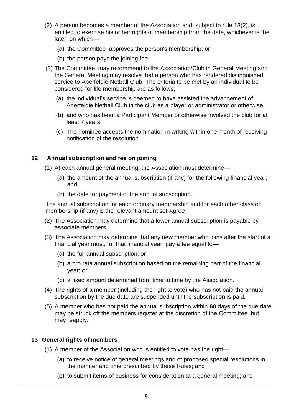- (2) A person becomes a member of the Association and, subject to rule 13(2), is entitled to exercise his or her rights of membership from the date, whichever is the later, on which—
	- (a) the Committee approves the person's membership; or
	- (b) the person pays the joining fee.
- (3) The Committee may recommend to the Association/Club in General Meeting and the General Meeting may resolve that a person who has rendered distinguished service to Aberfeldie Netball Club. The criteria to be met by an individual to be considered for life membership are as follows;
	- (a) the individual's service is deemed to have assisted the advancement of Aberfeldie Netball Club in the club as a player or administrator or otherwise,
	- (b) and who has been a Participant Member or otherwise involved the club for at least 7 years.
	- (c) The nominee accepts the nomination in writing within one month of receiving notification of the resolution

### **12 Annual subscription and fee on joining**

- (1) At each annual general meeting, the Association must determine—
	- (a) the amount of the annual subscription (if any) for the following financial year; and
	- (b) the date for payment of the annual subscription.

The annual subscription for each ordinary membership and for each other class of membership (if any) is the relevant amount set *Agree*

- (2) The Association may determine that a lower annual subscription is payable by associate members.
- (3) The Association may determine that any new member who joins after the start of a financial year must, for that financial year, pay a fee equal to—
	- (a) the full annual subscription; or
	- (b) a pro rata annual subscription based on the remaining part of the financial year; or
	- (c) a fixed amount determined from time to time by the Association.
- (4) The rights of a member (including the right to vote) who has not paid the annual subscription by the due date are suspended until the subscription is paid.
- (5) A member who has not paid the annual subscription within **60** days of the due date may be struck off the members register at the discretion of the Committee but may reapply.

#### **13 General rights of members**

- (1) A member of the Association who is entitled to vote has the right—
	- (a) to receive notice of general meetings and of proposed special resolutions in the manner and time prescribed by these Rules; and
	- (b) to submit items of business for consideration at a general meeting; and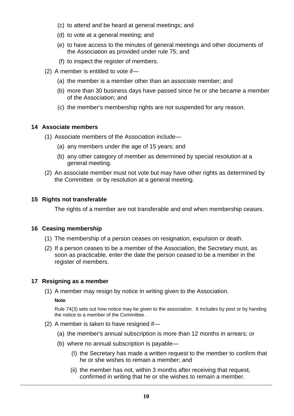- (c) to attend and be heard at general meetings; and
- (d) to vote at a general meeting; and
- (e) to have access to the minutes of general meetings and other documents of the Association as provided under rule 75; and
- (f) to inspect the register of members.
- (2) A member is entitled to vote if—
	- (a) the member is a member other than an associate member; and
	- (b) more than 30 business days have passed since he or she became a member of the Association; and
	- (c) the member's membership rights are not suspended for any reason.

### **14 Associate members**

- (1) Associate members of the Association include—
	- (a) any members under the age of 15 years; and
	- (b) any other category of member as determined by special resolution at a general meeting.
- (2) An associate member must not vote but may have other rights as determined by the Committee or by resolution at a general meeting.

### **15 Rights not transferable**

The rights of a member are not transferable and end when membership ceases.

#### **16 Ceasing membership**

- (1) The membership of a person ceases on resignation, expulsion or death.
- (2) If a person ceases to be a member of the Association, the Secretary must, as soon as practicable, enter the date the person ceased to be a member in the register of members.

#### **17 Resigning as a member**

(1) A member may resign by notice in writing given to the Association.

#### **Note**

Rule 74(3) sets out how notice may be given to the association. It includes by post or by handing the notice to a member of the Committee .

- (2) A member is taken to have resigned if—
	- (a) the member's annual subscription is more than 12 months in arrears; or
	- (b) where no annual subscription is payable—
		- (I) the Secretary has made a written request to the member to confirm that he or she wishes to remain a member; and
		- (ii) the member has not, within 3 months after receiving that request, confirmed in writing that he or she wishes to remain a member.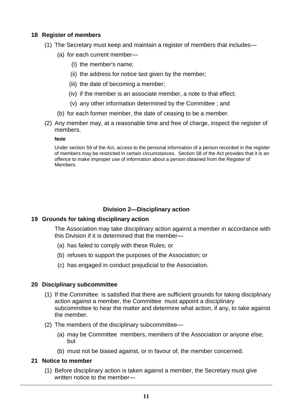# **18 Register of members**

- (1) The Secretary must keep and maintain a register of members that includes—
	- (a) for each current member—
		- (I) the member's name;
		- (ii) the address for notice last given by the member;
		- (iii) the date of becoming a member;
		- (iv) if the member is an associate member, a note to that effect;
		- (v) any other information determined by the Committee ; and
	- (b) for each former member, the date of ceasing to be a member.
- (2) Any member may, at a reasonable time and free of charge, inspect the register of members.

#### **Note**

Under section 59 of the Act, access to the personal information of a person recorded in the register of members may be restricted in certain circumstances. Section 58 of the Act provides that it is an offence to make improper use of information about a person obtained from the Register of Members.

# **Division 2—Disciplinary action**

#### **19 Grounds for taking disciplinary action**

The Association may take disciplinary action against a member in accordance with this Division if it is determined that the member—

- (a) has failed to comply with these Rules; or
- (b) refuses to support the purposes of the Association; or
- (c) has engaged in conduct prejudicial to the Association.

# **20 Disciplinary subcommittee**

- (1) If the Committee is satisfied that there are sufficient grounds for taking disciplinary action against a member, the Committee must appoint a disciplinary subcommittee to hear the matter and determine what action, if any, to take against the member.
- (2) The members of the disciplinary subcommittee—
	- (a) may be Committee members, members of the Association or anyone else; but
	- (b) must not be biased against, or in favour of, the member concerned.

#### **21 Notice to member**

(1) Before disciplinary action is taken against a member, the Secretary must give written notice to the member—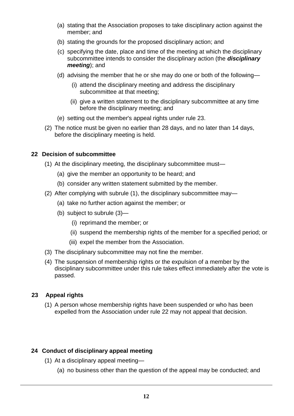- (a) stating that the Association proposes to take disciplinary action against the member; and
- (b) stating the grounds for the proposed disciplinary action; and
- (c) specifying the date, place and time of the meeting at which the disciplinary subcommittee intends to consider the disciplinary action (the *disciplinary meeting*); and
- (d) advising the member that he or she may do one or both of the following—
	- (i) attend the disciplinary meeting and address the disciplinary subcommittee at that meeting;
	- (ii) give a written statement to the disciplinary subcommittee at any time before the disciplinary meeting; and
- (e) setting out the member's appeal rights under rule 23.
- (2) The notice must be given no earlier than 28 days, and no later than 14 days, before the disciplinary meeting is held.

# **22 Decision of subcommittee**

- (1) At the disciplinary meeting, the disciplinary subcommittee must—
	- (a) give the member an opportunity to be heard; and
	- (b) consider any written statement submitted by the member.
- (2) After complying with subrule (1), the disciplinary subcommittee may—
	- (a) take no further action against the member; or
	- (b) subject to subrule (3)—
		- (i) reprimand the member; or
		- (ii) suspend the membership rights of the member for a specified period; or
		- (iii) expel the member from the Association.
- (3) The disciplinary subcommittee may not fine the member.
- (4) The suspension of membership rights or the expulsion of a member by the disciplinary subcommittee under this rule takes effect immediately after the vote is passed.

# **23 Appeal rights**

(1) A person whose membership rights have been suspended or who has been expelled from the Association under rule 22 may not appeal that decision.

# **24 Conduct of disciplinary appeal meeting**

- (1) At a disciplinary appeal meeting—
	- (a) no business other than the question of the appeal may be conducted; and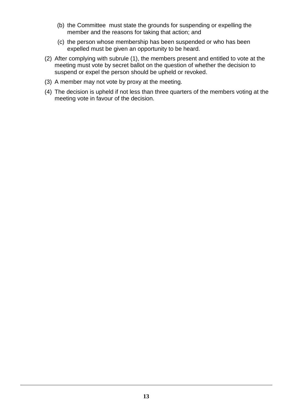- (b) the Committee must state the grounds for suspending or expelling the member and the reasons for taking that action; and
- (c) the person whose membership has been suspended or who has been expelled must be given an opportunity to be heard.
- (2) After complying with subrule (1), the members present and entitled to vote at the meeting must vote by secret ballot on the question of whether the decision to suspend or expel the person should be upheld or revoked.
- (3) A member may not vote by proxy at the meeting.
- (4) The decision is upheld if not less than three quarters of the members voting at the meeting vote in favour of the decision.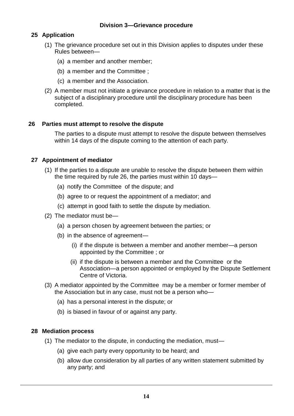#### **Division 3—Grievance procedure**

# **25 Application**

- (1) The grievance procedure set out in this Division applies to disputes under these Rules between—
	- (a) a member and another member;
	- (b) a member and the Committee ;
	- (c) a member and the Association.
- (2) A member must not initiate a grievance procedure in relation to a matter that is the subject of a disciplinary procedure until the disciplinary procedure has been completed.

### **26 Parties must attempt to resolve the dispute**

The parties to a dispute must attempt to resolve the dispute between themselves within 14 days of the dispute coming to the attention of each party.

### **27 Appointment of mediator**

- (1) If the parties to a dispute are unable to resolve the dispute between them within the time required by rule 26, the parties must within 10 days—
	- (a) notify the Committee of the dispute; and
	- (b) agree to or request the appointment of a mediator; and
	- (c) attempt in good faith to settle the dispute by mediation.
- (2) The mediator must be—
	- (a) a person chosen by agreement between the parties; or
	- (b) in the absence of agreement—
		- (i) if the dispute is between a member and another member—a person appointed by the Committee ; or
		- (ii) if the dispute is between a member and the Committee or the Association—a person appointed or employed by the Dispute Settlement Centre of Victoria.
- (3) A mediator appointed by the Committee may be a member or former member of the Association but in any case, must not be a person who—
	- (a) has a personal interest in the dispute; or
	- (b) is biased in favour of or against any party.

#### **28 Mediation process**

- (1) The mediator to the dispute, in conducting the mediation, must—
	- (a) give each party every opportunity to be heard; and
	- (b) allow due consideration by all parties of any written statement submitted by any party; and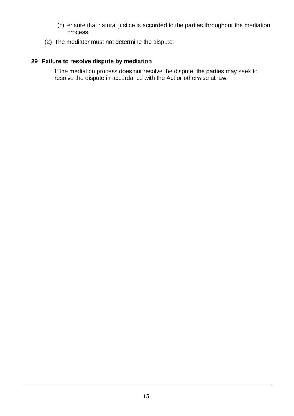- (c) ensure that natural justice is accorded to the parties throughout the mediation process.
- (2) The mediator must not determine the dispute.

# **29 Failure to resolve dispute by mediation**

If the mediation process does not resolve the dispute, the parties may seek to resolve the dispute in accordance with the Act or otherwise at law.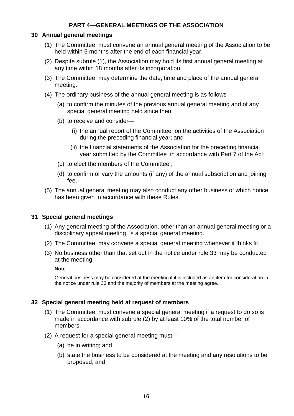# **PART 4—GENERAL MEETINGS OF THE ASSOCIATION**

#### **30 Annual general meetings**

- (1) The Committee must convene an annual general meeting of the Association to be held within 5 months after the end of each financial year.
- (2) Despite subrule (1), the Association may hold its first annual general meeting at any time within 18 months after its incorporation.
- (3) The Committee may determine the date, time and place of the annual general meeting.
- (4) The ordinary business of the annual general meeting is as follows—
	- (a) to confirm the minutes of the previous annual general meeting and of any special general meeting held since then;
	- (b) to receive and consider—
		- (i) the annual report of the Committee on the activities of the Association during the preceding financial year; and
		- (ii) the financial statements of the Association for the preceding financial year submitted by the Committee in accordance with Part 7 of the Act;
	- (c) to elect the members of the Committee ;
	- (d) to confirm or vary the amounts (if any) of the annual subscription and joining fee.
- (5) The annual general meeting may also conduct any other business of which notice has been given in accordance with these Rules.

# **31 Special general meetings**

- (1) Any general meeting of the Association, other than an annual general meeting or a disciplinary appeal meeting, is a special general meeting.
- (2) The Committee may convene a special general meeting whenever it thinks fit.
- (3) No business other than that set out in the notice under rule 33 may be conducted at the meeting.

#### **Note**

General business may be considered at the meeting if it is included as an item for consideration in the notice under rule 33 and the majority of members at the meeting agree.

#### **32 Special general meeting held at request of members**

- (1) The Committee must convene a special general meeting if a request to do so is made in accordance with subrule (2) by at least 10% of the total number of members.
- (2) A request for a special general meeting must—
	- (a) be in writing; and
	- (b) state the business to be considered at the meeting and any resolutions to be proposed; and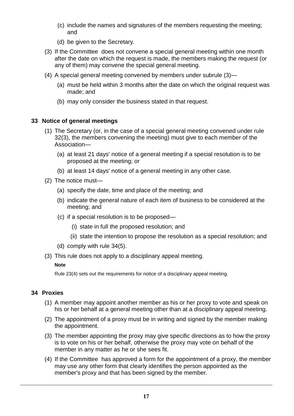- (c) include the names and signatures of the members requesting the meeting; and
- (d) be given to the Secretary.
- (3) If the Committee does not convene a special general meeting within one month after the date on which the request is made, the members making the request (or any of them) may convene the special general meeting.
- (4) A special general meeting convened by members under subrule (3)—
	- (a) must be held within 3 months after the date on which the original request was made; and
	- (b) may only consider the business stated in that request.

# **33 Notice of general meetings**

- (1) The Secretary (or, in the case of a special general meeting convened under rule 32(3), the members convening the meeting) must give to each member of the Association—
	- (a) at least 21 days' notice of a general meeting if a special resolution is to be proposed at the meeting; or
	- (b) at least 14 days' notice of a general meeting in any other case.
- (2) The notice must—
	- (a) specify the date, time and place of the meeting; and
	- (b) indicate the general nature of each item of business to be considered at the meeting; and
	- (c) if a special resolution is to be proposed—
		- (i) state in full the proposed resolution; and
		- (ii) state the intention to propose the resolution as a special resolution; and
	- (d) comply with rule 34(5).
- (3) This rule does not apply to a disciplinary appeal meeting.

#### **Note**

Rule 23(4) sets out the requirements for notice of a disciplinary appeal meeting.

# **34 Proxies**

- (1) A member may appoint another member as his or her proxy to vote and speak on his or her behalf at a general meeting other than at a disciplinary appeal meeting.
- (2) The appointment of a proxy must be in writing and signed by the member making the appointment.
- (3) The member appointing the proxy may give specific directions as to how the proxy is to vote on his or her behalf, otherwise the proxy may vote on behalf of the member in any matter as he or she sees fit.
- (4) If the Committee has approved a form for the appointment of a proxy, the member may use any other form that clearly identifies the person appointed as the member's proxy and that has been signed by the member.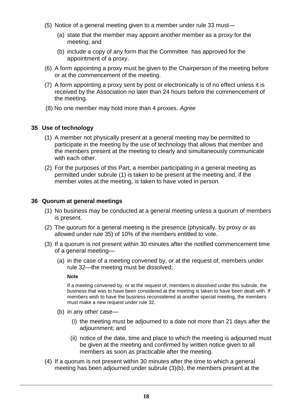- (5) Notice of a general meeting given to a member under rule 33 must—
	- (a) state that the member may appoint another member as a proxy for the meeting; and
	- (b) include a copy of any form that the Committee has approved for the appointment of a proxy.
- (6) A form appointing a proxy must be given to the Chairperson of the meeting before or at the commencement of the meeting.
- (7) A form appointing a proxy sent by post or electronically is of no effect unless it is received by the Association no later than 24 hours before the commencement of the meeting.
- (8) No one member may hold more than 4 proxies. *Agree*

### **35 Use of technology**

- (1) A member not physically present at a general meeting may be permitted to participate in the meeting by the use of technology that allows that member and the members present at the meeting to clearly and simultaneously communicate with each other.
- (2) For the purposes of this Part, a member participating in a general meeting as permitted under subrule (1) is taken to be present at the meeting and, if the member votes at the meeting, is taken to have voted in person.

### **36 Quorum at general meetings**

- (1) No business may be conducted at a general meeting unless a quorum of members is present.
- (2) The quorum for a general meeting is the presence (physically, by proxy or as allowed under rule 35) of 10% of the members entitled to vote.
- (3) If a quorum is not present within 30 minutes after the notified commencement time of a general meeting—
	- (a) in the case of a meeting convened by, or at the request of, members under rule 32—the meeting must be dissolved;

#### **Note**

If a meeting convened by, or at the request of, members is dissolved under this subrule, the business that was to have been considered at the meeting is taken to have been dealt with. If members wish to have the business reconsidered at another special meeting, the members must make a new request under rule 32.

- (b) in any other case—
	- (i) the meeting must be adjourned to a date not more than 21 days after the adjournment; and
	- (ii) notice of the date, time and place to which the meeting is adjourned must be given at the meeting and confirmed by written notice given to all members as soon as practicable after the meeting.
- (4) If a quorum is not present within 30 minutes after the time to which a general meeting has been adjourned under subrule (3)(b), the members present at the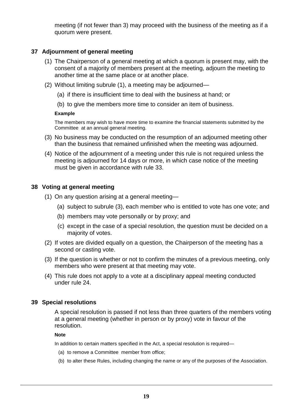meeting (if not fewer than 3) may proceed with the business of the meeting as if a quorum were present.

# **37 Adjournment of general meeting**

- (1) The Chairperson of a general meeting at which a quorum is present may, with the consent of a majority of members present at the meeting, adjourn the meeting to another time at the same place or at another place.
- (2) Without limiting subrule (1), a meeting may be adjourned—
	- (a) if there is insufficient time to deal with the business at hand; or
	- (b) to give the members more time to consider an item of business.

#### **Example**

The members may wish to have more time to examine the financial statements submitted by the Committee at an annual general meeting.

- (3) No business may be conducted on the resumption of an adjourned meeting other than the business that remained unfinished when the meeting was adjourned.
- (4) Notice of the adjournment of a meeting under this rule is not required unless the meeting is adjourned for 14 days or more, in which case notice of the meeting must be given in accordance with rule 33.

### **38 Voting at general meeting**

- (1) On any question arising at a general meeting—
	- (a) subject to subrule (3), each member who is entitled to vote has one vote; and
	- (b) members may vote personally or by proxy; and
	- (c) except in the case of a special resolution, the question must be decided on a majority of votes.
- (2) If votes are divided equally on a question, the Chairperson of the meeting has a second or casting vote.
- (3) If the question is whether or not to confirm the minutes of a previous meeting, only members who were present at that meeting may vote.
- (4) This rule does not apply to a vote at a disciplinary appeal meeting conducted under rule 24.

#### **39 Special resolutions**

A special resolution is passed if not less than three quarters of the members voting at a general meeting (whether in person or by proxy) vote in favour of the resolution.

#### **Note**

In addition to certain matters specified in the Act, a special resolution is required—

- (a) to remove a Committee member from office;
- (b) to alter these Rules, including changing the name or any of the purposes of the Association.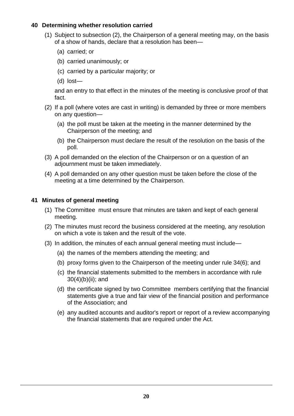# **40 Determining whether resolution carried**

- (1) Subject to subsection (2), the Chairperson of a general meeting may, on the basis of a show of hands, declare that a resolution has been—
	- (a) carried; or
	- (b) carried unanimously; or
	- (c) carried by a particular majority; or
	- (d) lost—

and an entry to that effect in the minutes of the meeting is conclusive proof of that fact.

- (2) If a poll (where votes are cast in writing) is demanded by three or more members on any question—
	- (a) the poll must be taken at the meeting in the manner determined by the Chairperson of the meeting; and
	- (b) the Chairperson must declare the result of the resolution on the basis of the poll.
- (3) A poll demanded on the election of the Chairperson or on a question of an adjournment must be taken immediately.
- (4) A poll demanded on any other question must be taken before the close of the meeting at a time determined by the Chairperson.

### **41 Minutes of general meeting**

- (1) The Committee must ensure that minutes are taken and kept of each general meeting.
- (2) The minutes must record the business considered at the meeting, any resolution on which a vote is taken and the result of the vote.
- (3) In addition, the minutes of each annual general meeting must include—
	- (a) the names of the members attending the meeting; and
	- (b) proxy forms given to the Chairperson of the meeting under rule 34(6); and
	- (c) the financial statements submitted to the members in accordance with rule 30(4)(b)(ii); and
	- (d) the certificate signed by two Committee members certifying that the financial statements give a true and fair view of the financial position and performance of the Association; and
	- (e) any audited accounts and auditor's report or report of a review accompanying the financial statements that are required under the Act.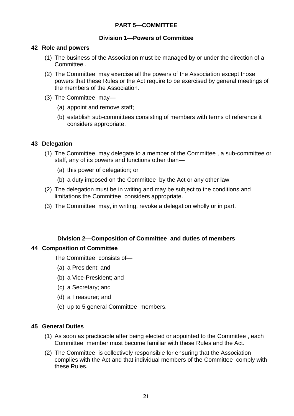# **PART 5—COMMITTEE**

## **Division 1—Powers of Committee**

#### **42 Role and powers**

- (1) The business of the Association must be managed by or under the direction of a Committee .
- (2) The Committee may exercise all the powers of the Association except those powers that these Rules or the Act require to be exercised by general meetings of the members of the Association.
- (3) The Committee may—
	- (a) appoint and remove staff;
	- (b) establish sub-committees consisting of members with terms of reference it considers appropriate.

# **43 Delegation**

- (1) The Committee may delegate to a member of the Committee , a sub-committee or staff, any of its powers and functions other than—
	- (a) this power of delegation; or
	- (b) a duty imposed on the Committee by the Act or any other law.
- (2) The delegation must be in writing and may be subject to the conditions and limitations the Committee considers appropriate.
- (3) The Committee may, in writing, revoke a delegation wholly or in part.

# **Division 2—Composition of Committee and duties of members**

# **44 Composition of Committee**

The Committee consists of—

- (a) a President; and
- (b) a Vice-President; and
- (c) a Secretary; and
- (d) a Treasurer; and
- (e) up to 5 general Committee members.

# **45 General Duties**

- (1) As soon as practicable after being elected or appointed to the Committee , each Committee member must become familiar with these Rules and the Act.
- (2) The Committee is collectively responsible for ensuring that the Association complies with the Act and that individual members of the Committee comply with these Rules.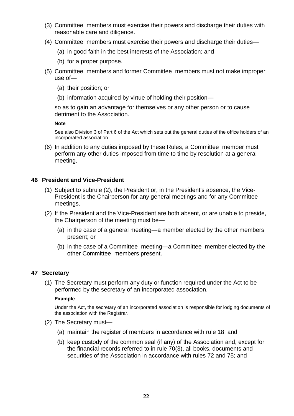- (3) Committee members must exercise their powers and discharge their duties with reasonable care and diligence.
- (4) Committee members must exercise their powers and discharge their duties—
	- (a) in good faith in the best interests of the Association; and
	- (b) for a proper purpose.
- (5) Committee members and former Committee members must not make improper use of—
	- (a) their position; or
	- (b) information acquired by virtue of holding their position—

so as to gain an advantage for themselves or any other person or to cause detriment to the Association.

**Note**

See also Division 3 of Part 6 of the Act which sets out the general duties of the office holders of an incorporated association.

(6) In addition to any duties imposed by these Rules, a Committee member must perform any other duties imposed from time to time by resolution at a general meeting.

#### **46 President and Vice-President**

- (1) Subject to subrule (2), the President or, in the President's absence, the Vice-President is the Chairperson for any general meetings and for any Committee meetings.
- (2) If the President and the Vice-President are both absent, or are unable to preside, the Chairperson of the meeting must be—
	- (a) in the case of a general meeting—a member elected by the other members present; or
	- (b) in the case of a Committee meeting—a Committee member elected by the other Committee members present.

#### **47 Secretary**

(1) The Secretary must perform any duty or function required under the Act to be performed by the secretary of an incorporated association.

#### **Example**

Under the Act, the secretary of an incorporated association is responsible for lodging documents of the association with the Registrar.

- (2) The Secretary must—
	- (a) maintain the register of members in accordance with rule 18; and
	- (b) keep custody of the common seal (if any) of the Association and, except for the financial records referred to in rule 70(3), all books, documents and securities of the Association in accordance with rules 72 and 75; and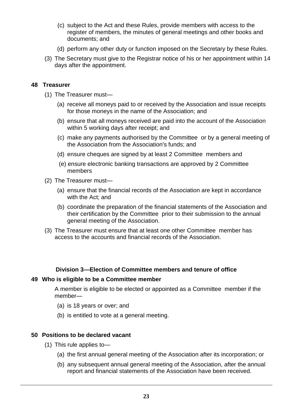- (c) subject to the Act and these Rules, provide members with access to the register of members, the minutes of general meetings and other books and documents; and
- (d) perform any other duty or function imposed on the Secretary by these Rules.
- (3) The Secretary must give to the Registrar notice of his or her appointment within 14 days after the appointment.

#### **48 Treasurer**

- (1) The Treasurer must—
	- (a) receive all moneys paid to or received by the Association and issue receipts for those moneys in the name of the Association; and
	- (b) ensure that all moneys received are paid into the account of the Association within 5 working days after receipt; and
	- (c) make any payments authorised by the Committee or by a general meeting of the Association from the Association's funds; and
	- (d) ensure cheques are signed by at least 2 Committee members and
	- (e) ensure electronic banking transactions are approved by 2 Committee members
- (2) The Treasurer must—
	- (a) ensure that the financial records of the Association are kept in accordance with the Act; and
	- (b) coordinate the preparation of the financial statements of the Association and their certification by the Committee prior to their submission to the annual general meeting of the Association.
- (3) The Treasurer must ensure that at least one other Committee member has access to the accounts and financial records of the Association.

#### **Division 3—Election of Committee members and tenure of office**

#### **49 Who is eligible to be a Committee member**

A member is eligible to be elected or appointed as a Committee member if the member—

- (a) is 18 years or over; and
- (b) is entitled to vote at a general meeting.

#### **50 Positions to be declared vacant**

- (1) This rule applies to—
	- (a) the first annual general meeting of the Association after its incorporation; or
	- (b) any subsequent annual general meeting of the Association, after the annual report and financial statements of the Association have been received.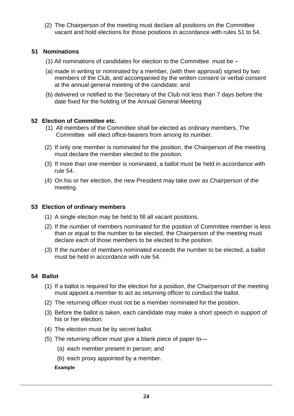(2) The Chairperson of the meeting must declare all positions on the Committee vacant and hold elections for those positions in accordance with rules 51 to 54.

#### **51 Nominations**

- (1) All nominations of candidates for election to the Committee must be –
- (a) made in writing or nominated by a member, (with their approval) signed by two members of the Club, and accompanied by the written consent or verbal consent at the annual general meeting of the candidate; and
- (b) delivered or notified to the Secretary of the Club not less than 7 days before the date fixed for the holding of the Annual General Meeting

### **52 Election of Committee etc.**

- (1) All members of the Committee shall be elected as ordinary members. The Committee will elect office-bearers from among its number.
- (2) If only one member is nominated for the position, the Chairperson of the meeting must declare the member elected to the position.
- (3) If more than one member is nominated, a ballot must be held in accordance with rule 54.
- (4) On his or her election, the new President may take over as Chairperson of the meeting.

#### **53 Election of ordinary members**

- (1) A single election may be held to fill all vacant positions.
- (2) If the number of members nominated for the position of Committee member is less than or equal to the number to be elected, the Chairperson of the meeting must declare each of those members to be elected to the position.
- (3) If the number of members nominated exceeds the number to be elected, a ballot must be held in accordance with rule 54.

# **54 Ballot**

- (1) If a ballot is required for the election for a position, the Chairperson of the meeting must appoint a member to act as returning officer to conduct the ballot.
- (2) The returning officer must not be a member nominated for the position.
- (3) Before the ballot is taken, each candidate may make a short speech in support of his or her election.
- (4) The election must be by secret ballot.
- (5) The returning officer must give a blank piece of paper to—
	- (a) each member present in person; and
	- (b) each proxy appointed by a member.

#### **Example**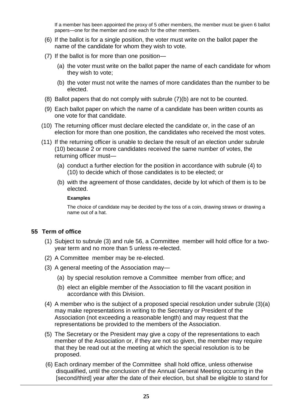If a member has been appointed the proxy of 5 other members, the member must be given 6 ballot papers—one for the member and one each for the other members.

- (6) If the ballot is for a single position, the voter must write on the ballot paper the name of the candidate for whom they wish to vote.
- (7) If the ballot is for more than one position—
	- (a) the voter must write on the ballot paper the name of each candidate for whom they wish to vote;
	- (b) the voter must not write the names of more candidates than the number to be elected.
- (8) Ballot papers that do not comply with subrule (7)(b) are not to be counted.
- (9) Each ballot paper on which the name of a candidate has been written counts as one vote for that candidate.
- (10) The returning officer must declare elected the candidate or, in the case of an election for more than one position, the candidates who received the most votes.
- (11) If the returning officer is unable to declare the result of an election under subrule (10) because 2 or more candidates received the same number of votes, the returning officer must—
	- (a) conduct a further election for the position in accordance with subrule (4) to (10) to decide which of those candidates is to be elected; or
	- (b) with the agreement of those candidates, decide by lot which of them is to be elected.

#### **Examples**

The choice of candidate may be decided by the toss of a coin, drawing straws or drawing a name out of a hat.

# **55 Term of office**

- (1) Subject to subrule (3) and rule 56, a Committee member will hold office for a twoyear term and no more than 5 unless re-elected.
- (2) A Committee member may be re-elected.
- (3) A general meeting of the Association may—
	- (a) by special resolution remove a Committee member from office; and
	- (b) elect an eligible member of the Association to fill the vacant position in accordance with this Division.
- (4) A member who is the subject of a proposed special resolution under subrule (3)(a) may make representations in writing to the Secretary or President of the Association (not exceeding a reasonable length) and may request that the representations be provided to the members of the Association.
- (5) The Secretary or the President may give a copy of the representations to each member of the Association or, if they are not so given, the member may require that they be read out at the meeting at which the special resolution is to be proposed.
- (6) Each ordinary member of the Committee shall hold office, unless otherwise disqualified, until the conclusion of the Annual General Meeting occurring in the [second/third] year after the date of their election, but shall be eligible to stand for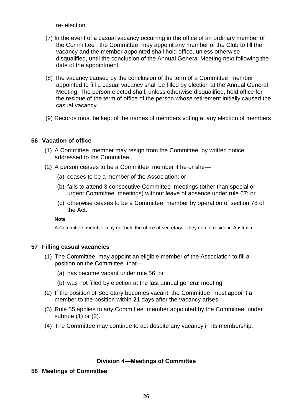re- election.

- (7) In the event of a casual vacancy occurring in the office of an ordinary member of the Committee , the Committee may appoint any member of the Club to fill the vacancy and the member appointed shall hold office, unless otherwise disqualified, until the conclusion of the Annual General Meeting next following the date of the appointment.
- (8) The vacancy caused by the conclusion of the term of a Committee member appointed to fill a casual vacancy shall be filled by election at the Annual General Meeting. The person elected shall, unless otherwise disqualified, hold office for the residue of the term of office of the person whose retirement initially caused the casual vacancy.
- (9) Records must be kept of the names of members voting at any election of members

# **56 Vacation of office**

- (1) A Committee member may resign from the Committee by written notice addressed to the Committee .
- (2) A person ceases to be a Committee member if he or she—
	- (a) ceases to be a member of the Association; or
	- (b) fails to attend 3 consecutive Committee meetings (other than special or urgent Committee meetings) without leave of absence under rule 67; or
	- (c) otherwise ceases to be a Committee member by operation of section 78 of the Act.

#### **Note**

A Committee member may not hold the office of secretary if they do not reside in Australia.

#### **57 Filling casual vacancies**

- (1) The Committee may appoint an eligible member of the Association to fill a position on the Committee that—
	- (a) has become vacant under rule 56; or
	- (b) was not filled by election at the last annual general meeting.
- (2) If the position of Secretary becomes vacant, the Committee must appoint a member to the position within **21** days after the vacancy arises.
- (3) Rule 55 applies to any Committee member appointed by the Committee under subrule (1) or (2).
- (4) The Committee may continue to act despite any vacancy in its membership.

# **Division 4—Meetings of Committee**

# **58 Meetings of Committee**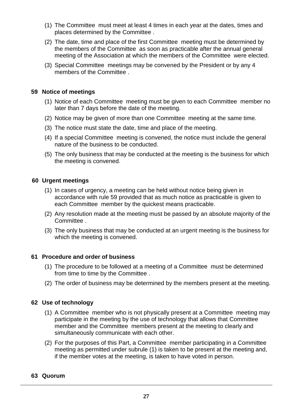- (1) The Committee must meet at least 4 times in each year at the dates, times and places determined by the Committee .
- (2) The date, time and place of the first Committee meeting must be determined by the members of the Committee as soon as practicable after the annual general meeting of the Association at which the members of the Committee were elected.
- (3) Special Committee meetings may be convened by the President or by any 4 members of the Committee .

#### **59 Notice of meetings**

- (1) Notice of each Committee meeting must be given to each Committee member no later than 7 days before the date of the meeting.
- (2) Notice may be given of more than one Committee meeting at the same time.
- (3) The notice must state the date, time and place of the meeting.
- (4) If a special Committee meeting is convened, the notice must include the general nature of the business to be conducted.
- (5) The only business that may be conducted at the meeting is the business for which the meeting is convened.

### **60 Urgent meetings**

- (1) In cases of urgency, a meeting can be held without notice being given in accordance with rule 59 provided that as much notice as practicable is given to each Committee member by the quickest means practicable.
- (2) Any resolution made at the meeting must be passed by an absolute majority of the Committee .
- (3) The only business that may be conducted at an urgent meeting is the business for which the meeting is convened.

#### **61 Procedure and order of business**

- (1) The procedure to be followed at a meeting of a Committee must be determined from time to time by the Committee .
- (2) The order of business may be determined by the members present at the meeting.

# **62 Use of technology**

- (1) A Committee member who is not physically present at a Committee meeting may participate in the meeting by the use of technology that allows that Committee member and the Committee members present at the meeting to clearly and simultaneously communicate with each other.
- (2) For the purposes of this Part, a Committee member participating in a Committee meeting as permitted under subrule (1) is taken to be present at the meeting and, if the member votes at the meeting, is taken to have voted in person.

#### **63 Quorum**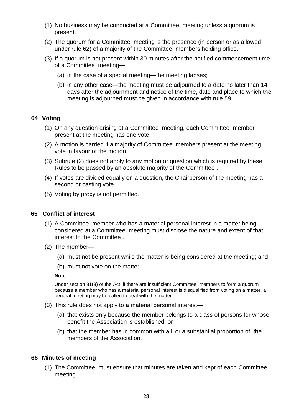- (1) No business may be conducted at a Committee meeting unless a quorum is present.
- (2) The quorum for a Committee meeting is the presence (in person or as allowed under rule 62) of a majority of the Committee members holding office.
- (3) If a quorum is not present within 30 minutes after the notified commencement time of a Committee meeting—
	- (a) in the case of a special meeting—the meeting lapses;
	- (b) in any other case—the meeting must be adjourned to a date no later than 14 days after the adjournment and notice of the time, date and place to which the meeting is adjourned must be given in accordance with rule 59.

### **64 Voting**

- (1) On any question arising at a Committee meeting, each Committee member present at the meeting has one vote.
- (2) A motion is carried if a majority of Committee members present at the meeting vote in favour of the motion.
- (3) Subrule (2) does not apply to any motion or question which is required by these Rules to be passed by an absolute majority of the Committee .
- (4) If votes are divided equally on a question, the Chairperson of the meeting has a second or casting vote.
- (5) Voting by proxy is not permitted.

#### **65 Conflict of interest**

- (1) A Committee member who has a material personal interest in a matter being considered at a Committee meeting must disclose the nature and extent of that interest to the Committee .
- (2) The member—
	- (a) must not be present while the matter is being considered at the meeting; and
	- (b) must not vote on the matter.

#### **Note**

Under section 81(3) of the Act, if there are insufficient Committee members to form a quorum because a member who has a material personal interest is disqualified from voting on a matter, a general meeting may be called to deal with the matter.

- (3) This rule does not apply to a material personal interest—
	- (a) that exists only because the member belongs to a class of persons for whose benefit the Association is established; or
	- (b) that the member has in common with all, or a substantial proportion of, the members of the Association.

#### **66 Minutes of meeting**

(1) The Committee must ensure that minutes are taken and kept of each Committee meeting.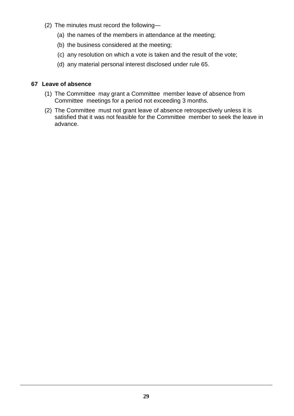- (2) The minutes must record the following—
	- (a) the names of the members in attendance at the meeting;
	- (b) the business considered at the meeting;
	- (c) any resolution on which a vote is taken and the result of the vote;
	- (d) any material personal interest disclosed under rule 65.

### **67 Leave of absence**

- (1) The Committee may grant a Committee member leave of absence from Committee meetings for a period not exceeding 3 months.
- (2) The Committee must not grant leave of absence retrospectively unless it is satisfied that it was not feasible for the Committee member to seek the leave in advance.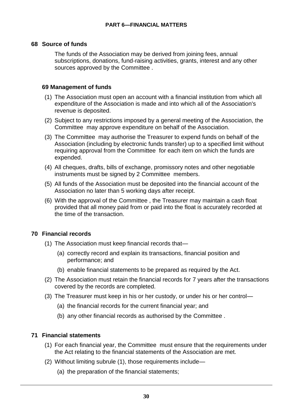#### **68 Source of funds**

The funds of the Association may be derived from joining fees, annual subscriptions, donations, fund-raising activities, grants, interest and any other sources approved by the Committee .

### **69 Management of funds**

- (1) The Association must open an account with a financial institution from which all expenditure of the Association is made and into which all of the Association's revenue is deposited.
- (2) Subject to any restrictions imposed by a general meeting of the Association, the Committee may approve expenditure on behalf of the Association.
- (3) The Committee may authorise the Treasurer to expend funds on behalf of the Association (including by electronic funds transfer) up to a specified limit without requiring approval from the Committee for each item on which the funds are expended.
- (4) All cheques, drafts, bills of exchange, promissory notes and other negotiable instruments must be signed by 2 Committee members.
- (5) All funds of the Association must be deposited into the financial account of the Association no later than 5 working days after receipt.
- (6) With the approval of the Committee , the Treasurer may maintain a cash float provided that all money paid from or paid into the float is accurately recorded at the time of the transaction.

# **70 Financial records**

- (1) The Association must keep financial records that—
	- (a) correctly record and explain its transactions, financial position and performance; and
	- (b) enable financial statements to be prepared as required by the Act.
- (2) The Association must retain the financial records for 7 years after the transactions covered by the records are completed.
- (3) The Treasurer must keep in his or her custody, or under his or her control—
	- (a) the financial records for the current financial year; and
	- (b) any other financial records as authorised by the Committee .

# **71 Financial statements**

- (1) For each financial year, the Committee must ensure that the requirements under the Act relating to the financial statements of the Association are met.
- (2) Without limiting subrule (1), those requirements include—
	- (a) the preparation of the financial statements;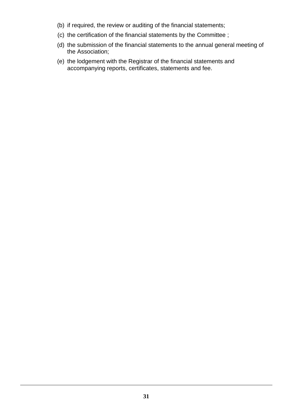- (b) if required, the review or auditing of the financial statements;
- (c) the certification of the financial statements by the Committee ;
- (d) the submission of the financial statements to the annual general meeting of the Association;
- (e) the lodgement with the Registrar of the financial statements and accompanying reports, certificates, statements and fee.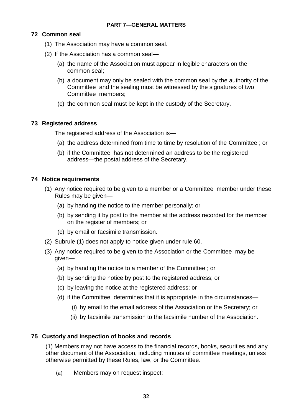# **72 Common seal**

- (1) The Association may have a common seal.
- (2) If the Association has a common seal—
	- (a) the name of the Association must appear in legible characters on the common seal;
	- (b) a document may only be sealed with the common seal by the authority of the Committee and the sealing must be witnessed by the signatures of two Committee members;
	- (c) the common seal must be kept in the custody of the Secretary.

# **73 Registered address**

The registered address of the Association is—

- (a) the address determined from time to time by resolution of the Committee ; or
- (b) if the Committee has not determined an address to be the registered address—the postal address of the Secretary.

# **74 Notice requirements**

- (1) Any notice required to be given to a member or a Committee member under these Rules may be given—
	- (a) by handing the notice to the member personally; or
	- (b) by sending it by post to the member at the address recorded for the member on the register of members; or
	- (c) by email or facsimile transmission.
- (2) Subrule (1) does not apply to notice given under rule 60.
- (3) Any notice required to be given to the Association or the Committee may be given—
	- (a) by handing the notice to a member of the Committee ; or
	- (b) by sending the notice by post to the registered address; or
	- (c) by leaving the notice at the registered address; or
	- (d) if the Committee determines that it is appropriate in the circumstances—
		- (i) by email to the email address of the Association or the Secretary; or
		- (ii) by facsimile transmission to the facsimile number of the Association.

# **75 Custody and inspection of books and records**

(1) Members may not have access to the financial records, books, securities and any other document of the Association, including minutes of committee meetings, unless otherwise permitted by these Rules, law, or the Committee.

(a) Members may on request inspect: